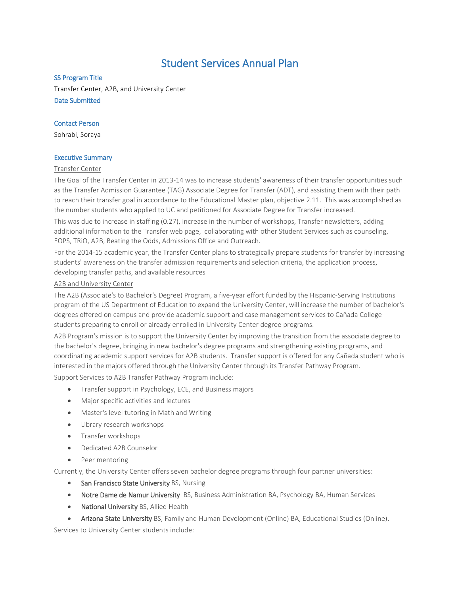# Student Services Annual Plan

#### SS Program Title

Transfer Center, A2B, and University Center Date Submitted

# Contact Person

Sohrabi, Soraya

#### Executive Summary

#### Transfer Center

The Goal of the Transfer Center in 2013-14 was to increase students' awareness of their transfer opportunities such as the Transfer Admission Guarantee (TAG) Associate Degree for Transfer (ADT), and assisting them with their path to reach their transfer goal in accordance to the Educational Master plan, objective 2.11. This was accomplished as the number students who applied to UC and petitioned for Associate Degree for Transfer increased.

This was due to increase in staffing (0.27), increase in the number of workshops, Transfer newsletters, adding additional information to the Transfer web page, collaborating with other Student Services such as counseling, EOPS, TRiO, A2B, Beating the Odds, Admissions Office and Outreach.

For the 2014-15 academic year, the Transfer Center plans to strategically prepare students for transfer by increasing students' awareness on the transfer admission requirements and selection criteria, the application process, developing transfer paths, and available resources

#### A2B and University Center

The A2B (Associate's to Bachelor's Degree) Program, a five-year effort funded by the Hispanic-Serving Institutions program of the US Department of Education to expand the University Center, will increase the number of bachelor's degrees offered on campus and provide academic support and case management services to Cañada College students preparing to enroll or already enrolled in University Center degree programs.

A2B Program's mission is to support the University Center by improving the transition from the associate degree to the bachelor's degree, bringing in new bachelor's degree programs and strengthening existing programs, and coordinating academic support services for A2B students. Transfer support is offered for any Cañada student who is interested in the majors offered through the University Center through its Transfer Pathway Program.

Support Services to A2B Transfer Pathway Program include:

- Transfer support in Psychology, ECE, and Business majors
- Major specific activities and lectures
- Master's level tutoring in Math and Writing
- Library research workshops
- Transfer workshops
- Dedicated A2B Counselor
- Peer mentoring

Currently, the University Center offers seven bachelor degree programs through four partner universities:

- San Francisco State University BS, Nursing
- Notre Dame de Namur University BS, Business Administration BA, Psychology BA, Human Services
- National University BS, Allied Health
- Arizona State University BS, Family and Human Development (Online) BA, Educational Studies (Online).

Services to University Center students include: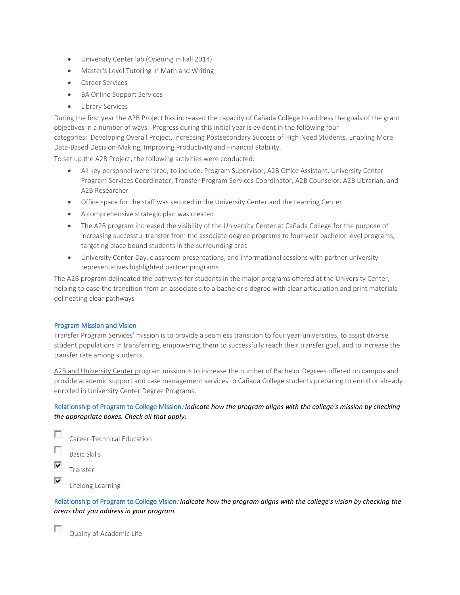- University Center lab (Opening in Fall 2014)
- Master's Level Tutoring in Math and Writing
- Career Services
- BA Online Support Services
- Library Services

During the first year the A2B Project has increased the capacity of Cañada College to address the goals of the grant objectives in a number of ways. Progress during this initial year is evident in the following four categories: Developing Overall Project, Increasing Postsecondary Success of High-Need Students, Enabling More Data-Based Decision-Making, Improving Productivity and Financial Stability.

To set up the A2B Project, the following activities were conducted:

- All key personnel were hired, to include: Program Supervisor, A2B Office Assistant, University Center Program Services Coordinator, Transfer Program Services Coordinator, A2B Counselor, A2B Librarian, and A2B Researcher
- Office space for the staff was secured in the University Center and the Learning Center.
- A comprehensive strategic plan was created
- The A2B program increased the visibility of the University Center at Cañada College for the purpose of increasing successful transfer from the associate degree programs to four-year bachelor level programs, targeting place bound students in the surrounding area
- University Center Day, classroom presentations, and informational sessions with partner university representatives highlighted partner programs

The A2B program delineated the pathways for students in the major programs offered at the University Center, helping to ease the transition from an associate's to a bachelor's degree with clear articulation and print materials delineating clear pathways

# Program Mission and Vision

Transfer Program Services' mission is to provide a seamless transition to four year-universities, to assist diverse student populations in transferring, empowering them to successfully reach their transfer goal, and to increase the transfer rate among students.

A2B and University Center program mission is to increase the number of Bachelor Degrees offered on campus and provide academic support and case management services to Cañada College students preparing to enroll or already enrolled in University Center Degree Programs.

# Relationship of Program to College Mission: *Indicate how the program aligns with the college's mission by checking the appropriate boxes. Check all that apply:*

п Career-Technical Education П

- Basic Skills
- ⊽ Transfer

 $\overline{a}$ 

⊽ Lifelong Learning

Relationship of Program to College Vision: *Indicate how the program aligns with the college's vision by checking the areas that you address in your program.*

Quality of Academic Life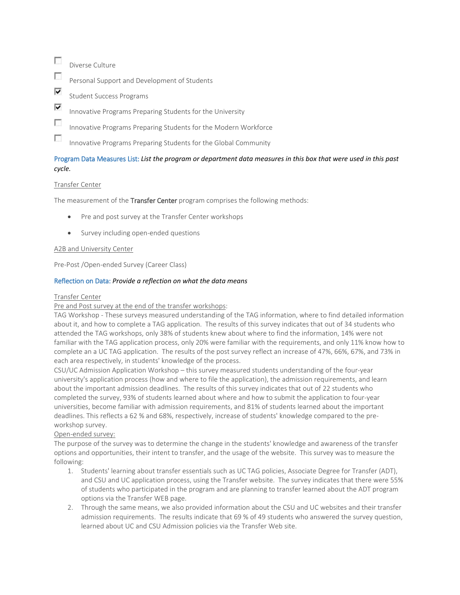- $\sim$ Diverse Culture
- П Personal Support and Development of Students
- ⊽ Student Success Programs
- ⊽ Innovative Programs Preparing Students for the University
- $\mathcal{L}_{\mathcal{L}}$ Innovative Programs Preparing Students for the Modern Workforce

 $\mathcal{L}_{\mathcal{L}}$ Innovative Programs Preparing Students for the Global Community

# Program Data Measures List: *List the program or department data measures in this box that were used in this past cycle.*

# Transfer Center

The measurement of the Transfer Center program comprises the following methods:

- Pre and post survey at the Transfer Center workshops
- Survey including open-ended questions

#### A2B and University Center

Pre-Post /Open-ended Survey (Career Class)

# Reflection on Data: *Provide a reflection on what the data means*

#### Transfer Center

#### Pre and Post survey at the end of the transfer workshops:

TAG Workshop - These surveys measured understanding of the TAG information, where to find detailed information about it, and how to complete a TAG application. The results of this survey indicates that out of 34 students who attended the TAG workshops, only 38% of students knew about where to find the information, 14% were not familiar with the TAG application process, only 20% were familiar with the requirements, and only 11% know how to complete an a UC TAG application. The results of the post survey reflect an increase of 47%, 66%, 67%, and 73% in each area respectively, in students' knowledge of the process.

CSU/UC Admission Application Workshop – this survey measured students understanding of the four-year university's application process (how and where to file the application), the admission requirements, and learn about the important admission deadlines. The results of this survey indicates that out of 22 students who completed the survey, 93% of students learned about where and how to submit the application to four-year universities, become familiar with admission requirements, and 81% of students learned about the important deadlines. This reflects a 62 % and 68%, respectively, increase of students' knowledge compared to the preworkshop survey.

# Open-ended survey:

The purpose of the survey was to determine the change in the students' knowledge and awareness of the transfer options and opportunities, their intent to transfer, and the usage of the website. This survey was to measure the following:

- 1. Students' learning about transfer essentials such as UC TAG policies, Associate Degree for Transfer (ADT), and CSU and UC application process, using the Transfer website. The survey indicates that there were 55% of students who participated in the program and are planning to transfer learned about the ADT program options via the Transfer WEB page.
- 2. Through the same means, we also provided information about the CSU and UC websites and their transfer admission requirements. The results indicate that 69 % of 49 students who answered the survey question, learned about UC and CSU Admission policies via the Transfer Web site.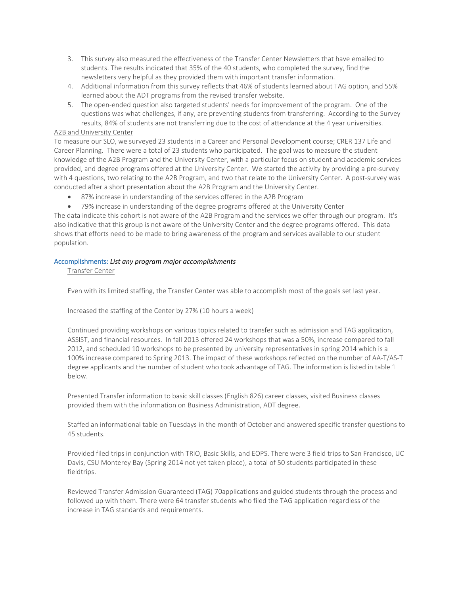- 3. This survey also measured the effectiveness of the Transfer Center Newsletters that have emailed to students. The results indicated that 35% of the 40 students, who completed the survey, find the newsletters very helpful as they provided them with important transfer information.
- 4. Additional information from this survey reflects that 46% of students learned about TAG option, and 55% learned about the ADT programs from the revised transfer website.
- 5. The open-ended question also targeted students' needs for improvement of the program. One of the questions was what challenges, if any, are preventing students from transferring. According to the Survey results, 84% of students are not transferring due to the cost of attendance at the 4 year universities.

# A2B and University Center

To measure our SLO, we surveyed 23 students in a Career and Personal Development course; CRER 137 Life and Career Planning. There were a total of 23 students who participated. The goal was to measure the student knowledge of the A2B Program and the University Center, with a particular focus on student and academic services provided, and degree programs offered at the University Center. We started the activity by providing a pre-survey with 4 questions, two relating to the A2B Program, and two that relate to the University Center. A post-survey was conducted after a short presentation about the A2B Program and the University Center.

- 87% increase in understanding of the services offered in the A2B Program
- 79% increase in understanding of the degree programs offered at the University Center

The data indicate this cohort is not aware of the A2B Program and the services we offer through our program. It's also indicative that this group is not aware of the University Center and the degree programs offered. This data shows that efforts need to be made to bring awareness of the program and services available to our student population.

#### Accomplishments: *List any program major accomplishments*

Transfer Center

Even with its limited staffing, the Transfer Center was able to accomplish most of the goals set last year.

Increased the staffing of the Center by 27% (10 hours a week)

Continued providing workshops on various topics related to transfer such as admission and TAG application, ASSIST, and financial resources. In fall 2013 offered 24 workshops that was a 50%, increase compared to fall 2012, and scheduled 10 workshops to be presented by university representatives in spring 2014 which is a 100% increase compared to Spring 2013. The impact of these workshops reflected on the number of AA-T/AS-T degree applicants and the number of student who took advantage of TAG. The information is listed in table 1 below.

Presented Transfer information to basic skill classes (English 826) career classes, visited Business classes provided them with the information on Business Administration, ADT degree.

Staffed an informational table on Tuesdays in the month of October and answered specific transfer questions to 45 students.

Provided filed trips in conjunction with TRiO, Basic Skills, and EOPS. There were 3 field trips to San Francisco, UC Davis, CSU Monterey Bay (Spring 2014 not yet taken place), a total of 50 students participated in these fieldtrips.

Reviewed Transfer Admission Guaranteed (TAG) 70applications and guided students through the process and followed up with them. There were 64 transfer students who filed the TAG application regardless of the increase in TAG standards and requirements.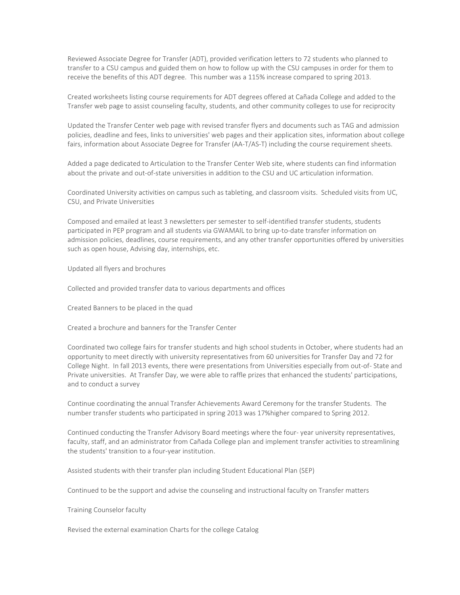Reviewed Associate Degree for Transfer (ADT), provided verification letters to 72 students who planned to transfer to a CSU campus and guided them on how to follow up with the CSU campuses in order for them to receive the benefits of this ADT degree. This number was a 115% increase compared to spring 2013.

Created worksheets listing course requirements for ADT degrees offered at Cañada College and added to the Transfer web page to assist counseling faculty, students, and other community colleges to use for reciprocity

Updated the Transfer Center web page with revised transfer flyers and documents such as TAG and admission policies, deadline and fees, links to universities' web pages and their application sites, information about college fairs, information about Associate Degree for Transfer (AA-T/AS-T) including the course requirement sheets.

Added a page dedicated to Articulation to the Transfer Center Web site, where students can find information about the private and out-of-state universities in addition to the CSU and UC articulation information.

Coordinated University activities on campus such as tableting, and classroom visits. Scheduled visits from UC, CSU, and Private Universities

Composed and emailed at least 3 newsletters per semester to self-identified transfer students, students participated in PEP program and all students via GWAMAIL to bring up-to-date transfer information on admission policies, deadlines, course requirements, and any other transfer opportunities offered by universities such as open house, Advising day, internships, etc.

Updated all flyers and brochures

Collected and provided transfer data to various departments and offices

Created Banners to be placed in the quad

Created a brochure and banners for the Transfer Center

Coordinated two college fairs for transfer students and high school students in October, where students had an opportunity to meet directly with university representatives from 60 universities for Transfer Day and 72 for College Night. In fall 2013 events, there were presentations from Universities especially from out-of- State and Private universities. At Transfer Day, we were able to raffle prizes that enhanced the students' participations, and to conduct a survey

Continue coordinating the annual Transfer Achievements Award Ceremony for the transfer Students. The number transfer students who participated in spring 2013 was 17%higher compared to Spring 2012.

Continued conducting the Transfer Advisory Board meetings where the four- year university representatives, faculty, staff, and an administrator from Cañada College plan and implement transfer activities to streamlining the students' transition to a four-year institution.

Assisted students with their transfer plan including Student Educational Plan (SEP)

Continued to be the support and advise the counseling and instructional faculty on Transfer matters

Training Counselor faculty

Revised the external examination Charts for the college Catalog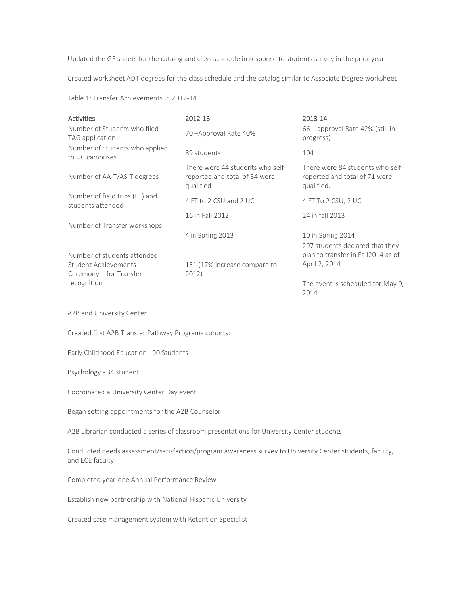Updated the GE sheets for the catalog and class schedule in response to students survey in the prior year

Created worksheet ADT degrees for the class schedule and the catalog similar to Associate Degree worksheet

Table 1: Transfer Achievements in 2012-14

| <b>Activities</b>                                                                     | 2012-13                                                                        | 2013-14                                                                         |
|---------------------------------------------------------------------------------------|--------------------------------------------------------------------------------|---------------------------------------------------------------------------------|
| Number of Students who filed<br>TAG application                                       | 70-Approval Rate 40%                                                           | 66 – approval Rate 42% (still in<br>progress)                                   |
| Number of Students who applied<br>to UC campuses                                      | 89 students                                                                    | 104                                                                             |
| Number of AA-T/AS-T degrees                                                           | There were 44 students who self-<br>reported and total of 34 were<br>qualified | There were 84 students who self-<br>reported and total of 71 were<br>qualified. |
| Number of field trips (FT) and<br>students attended                                   | 4 FT to 2 CSU and 2 UC                                                         | 4 FT To 2 CSU, 2 UC                                                             |
| Number of Transfer workshops                                                          | 16 in Fall 2012                                                                | 24 in fall 2013                                                                 |
|                                                                                       | 4 in Spring 2013                                                               | 10 in Spring 2014<br>297 students declared that they                            |
| Number of students attended<br><b>Student Achievements</b><br>Ceremony - for Transfer | 151 (17% increase compare to<br>2012)                                          | plan to transfer in Fall2014 as of<br>April 2, 2014                             |
| recognition                                                                           |                                                                                | The event is scheduled for May 9,<br>2014                                       |
| A2B and University Center                                                             |                                                                                |                                                                                 |

Created first A2B Transfer Pathway Programs cohorts:

Early Childhood Education - 90 Students

Psychology - 34 student

Coordinated a University Center Day event

Began setting appointments for the A2B Counselor

A2B Librarian conducted a series of classroom presentations for University Center students

Conducted needs assessment/satisfaction/program awareness survey to University Center students, faculty, and ECE faculty

Completed year-one Annual Performance Review

Establish new partnership with National Hispanic University

Created case management system with Retention Specialist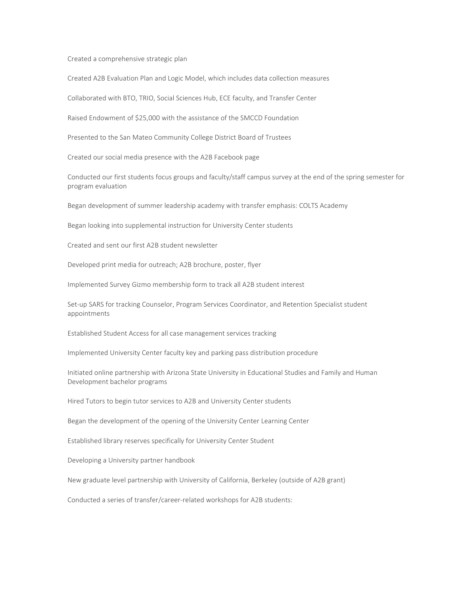Created a comprehensive strategic plan

Created A2B Evaluation Plan and Logic Model, which includes data collection measures

Collaborated with BTO, TRIO, Social Sciences Hub, ECE faculty, and Transfer Center

Raised Endowment of \$25,000 with the assistance of the SMCCD Foundation

Presented to the San Mateo Community College District Board of Trustees

Created our social media presence with the A2B Facebook page

Conducted our first students focus groups and faculty/staff campus survey at the end of the spring semester for program evaluation

Began development of summer leadership academy with transfer emphasis: COLTS Academy

Began looking into supplemental instruction for University Center students

Created and sent our first A2B student newsletter

Developed print media for outreach; A2B brochure, poster, flyer

Implemented Survey Gizmo membership form to track all A2B student interest

Set-up SARS for tracking Counselor, Program Services Coordinator, and Retention Specialist student appointments

Established Student Access for all case management services tracking

Implemented University Center faculty key and parking pass distribution procedure

Initiated online partnership with Arizona State University in Educational Studies and Family and Human Development bachelor programs

Hired Tutors to begin tutor services to A2B and University Center students

Began the development of the opening of the University Center Learning Center

Established library reserves specifically for University Center Student

Developing a University partner handbook

New graduate level partnership with University of California, Berkeley (outside of A2B grant)

Conducted a series of transfer/career-related workshops for A2B students: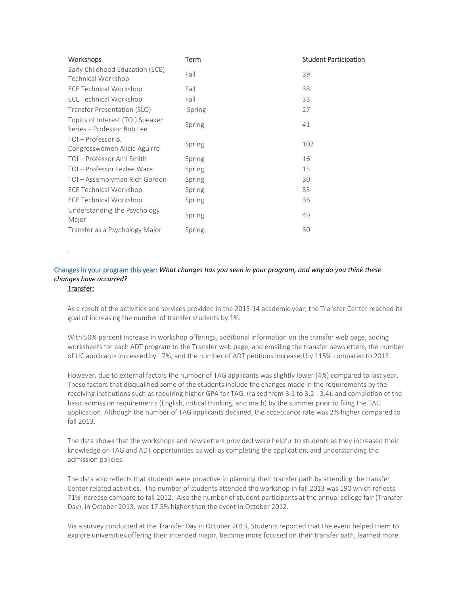| <b>Workshops</b>                                               | Term   | <b>Student Participation</b> |
|----------------------------------------------------------------|--------|------------------------------|
| Early Childhood Education (ECE)<br>Technical Workshop          | Fall   | 39                           |
| <b>ECE Technical Workshop</b>                                  | Fall   | 38                           |
| <b>ECE Technical Workshop</b>                                  | Fall   | 33                           |
| Transfer Presentation (SLO)                                    | Spring | 27                           |
| Topics of Interest (TOI) Speaker<br>Series - Professor Bob Lee | Spring | 41                           |
| TOI - Professor &<br>Congresswomen Alicia Aguirre              | Spring | 102                          |
| TOI – Professor Ami Smith                                      | Spring | 16                           |
| TOI - Professor Lezlee Ware                                    | Spring | 15                           |
| TOI - Assemblyman Rich Gordon                                  | Spring | 30                           |
| <b>ECE Technical Workshop</b>                                  | Spring | 35                           |
| <b>ECE Technical Workshop</b>                                  | Spring | 36                           |
| Understanding the Psychology<br>Major                          | Spring | 49                           |
| Transfer as a Psychology Major                                 | Spring | 30                           |

# Changes in your program this year: *What changes has you seen in your program, and why do you think these changes have occurred?*

# Transfer:

.

As a result of the activities and services provided in the 2013-14 academic year, the Transfer Center reached its goal of increasing the number of transfer students by 1%.

With 50% percent increase in workshop offerings, additional information on the transfer web page, adding worksheets for each ADT program to the Transfer web page, and emailing the transfer newsletters, the number of UC applicants increased by 17%, and the number of ADT petitions increased by 115% compared to 2013.

However, due to external factors the number of TAG applicants was slightly lower (4%) compared to last year. These factors that disqualified some of the students include the changes made in the requirements by the receiving institutions such as requiring higher GPA for TAG, (raised from 3.1 to 3.2 - 3.4), and completion of the basic admission requirements (English, critical thinking, and math) by the summer prior to filing the TAG application. Although the number of TAG applicants declined, the acceptance rate was 2% higher compared to fall 2013.

The data shows that the workshops and newsletters provided were helpful to students as they increased their knowledge on TAG and ADT opportunities as well as completing the application, and understanding the admission policies.

The data also reflects that students were proactive in planning their transfer path by attending the transfer Center related activities. The number of students attended the workshop in fall 2013 was 190 which reflects 71% increase compare to fall 2012. Also the number of student participants at the annual college fair (Transfer Day), in October 2013, was 17.5% higher than the event in October 2012.

Via a survey conducted at the Transfer Day in October 2013, Students reported that the event helped them to explore universities offering their intended major, become more focused on their transfer path, learned more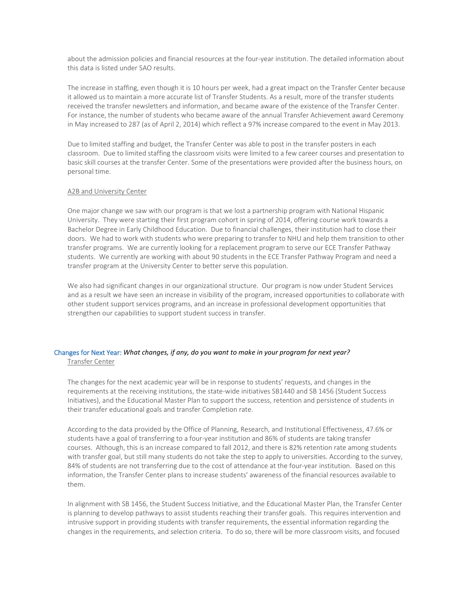about the admission policies and financial resources at the four-year institution. The detailed information about this data is listed under SAO results.

The increase in staffing, even though it is 10 hours per week, had a great impact on the Transfer Center because it allowed us to maintain a more accurate list of Transfer Students. As a result, more of the transfer students received the transfer newsletters and information, and became aware of the existence of the Transfer Center. For instance, the number of students who became aware of the annual Transfer Achievement award Ceremony in May increased to 287 (as of April 2, 2014) which reflect a 97% increase compared to the event in May 2013.

Due to limited staffing and budget, the Transfer Center was able to post in the transfer posters in each classroom. Due to limited staffing the classroom visits were limited to a few career courses and presentation to basic skill courses at the transfer Center. Some of the presentations were provided after the business hours, on personal time.

#### A2B and University Center

One major change we saw with our program is that we lost a partnership program with National Hispanic University. They were starting their first program cohort in spring of 2014, offering course work towards a Bachelor Degree in Early Childhood Education. Due to financial challenges, their institution had to close their doors. We had to work with students who were preparing to transfer to NHU and help them transition to other transfer programs. We are currently looking for a replacement program to serve our ECE Transfer Pathway students. We currently are working with about 90 students in the ECE Transfer Pathway Program and need a transfer program at the University Center to better serve this population.

We also had significant changes in our organizational structure. Our program is now under Student Services and as a result we have seen an increase in visibility of the program, increased opportunities to collaborate with other student support services programs, and an increase in professional development opportunities that strengthen our capabilities to support student success in transfer.

# Changes for Next Year: *What changes, if any, do you want to make in your program for next year?* Transfer Center

The changes for the next academic year will be in response to students' requests, and changes in the requirements at the receiving institutions, the state-wide initiatives SB1440 and SB 1456 (Student Success Initiatives), and the Educational Master Plan to support the success, retention and persistence of students in their transfer educational goals and transfer Completion rate.

According to the data provided by the Office of Planning, Research, and Institutional Effectiveness, 47.6% or students have a goal of transferring to a four-year institution and 86% of students are taking transfer courses. Although, this is an increase compared to fall 2012, and there is 82% retention rate among students with transfer goal, but still many students do not take the step to apply to universities. According to the survey, 84% of students are not transferring due to the cost of attendance at the four-year institution. Based on this information, the Transfer Center plans to increase students' awareness of the financial resources available to them.

In alignment with SB 1456, the Student Success Initiative, and the Educational Master Plan, the Transfer Center is planning to develop pathways to assist students reaching their transfer goals. This requires intervention and intrusive support in providing students with transfer requirements, the essential information regarding the changes in the requirements, and selection criteria. To do so, there will be more classroom visits, and focused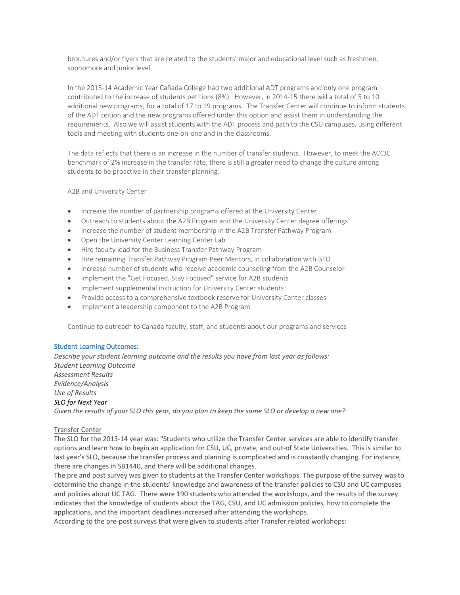brochures and/or flyers that are related to the students' major and educational level such as freshmen, sophomore and junior level.

In the 2013-14 Academic Year Cañada College had two additional ADT programs and only one program contributed to the increase of students petitions (8%). However, in 2014-15 there will a total of 5 to 10 additional new programs, for a total of 17 to 19 programs. The Transfer Center will continue to inform students of the ADT option and the new programs offered under this option and assist them in understanding the requirements. Also we will assist students with the ADT process and path to the CSU campuses, using different tools and meeting with students one-on-one and in the classrooms.

The data reflects that there is an increase in the number of transfer students. However, to meet the ACCJC benchmark of 2% increase in the transfer rate, there is still a greater need to change the culture among students to be proactive in their transfer planning.

# A2B and University Center

- Increase the number of partnership programs offered at the University Center
- Outreach to students about the A2B Program and the University Center degree offerings
- Increase the number of student membership in the A2B Transfer Pathway Program
- Open the University Center Learning Center Lab
- Hire faculty lead for the Business Transfer Pathway Program
- Hire remaining Transfer Pathway Program Peer Mentors, in collaboration with BTO
- Increase number of students who receive academic counseling from the A2B Counselor
- Implement the "Get Focused, Stay Focused" service for A2B students
- Implement supplemental instruction for University Center students
- Provide access to a comprehensive textbook reserve for University Center classes
- Implement a leadership component to the A2B Program

Continue to outreach to Canada faculty, staff, and students about our programs and services

# Student Learning Outcomes:

*Describe your student learning outcome and the results you have from last year as follows: Student Learning Outcome Assessment Results Evidence/Analysis Use of Results SLO for Next Year Given the results of your SLO this year, do you plan to keep the same SLO or develop a new one?*

# Transfer Center

The SLO for the 2013-14 year was: "Students who utilize the Transfer Center services are able to identify transfer options and learn how to begin an application for CSU, UC, private, and out-of State Universities. This is similar to last year's SLO, because the transfer process and planning is complicated and is constantly changing. For instance, there are changes in SB1440, and there will be additional changes.

The pre and post survey was given to students at the Transfer Center workshops. The purpose of the survey was to determine the change in the students' knowledge and awareness of the transfer policies to CSU and UC campuses and policies about UC TAG. There were 190 students who attended the workshops, and the results of the survey indicates that the knowledge of students about the TAG, CSU, and UC admission policies, how to complete the applications, and the important deadlines increased after attending the workshops.

According to the pre-post surveys that were given to students after Transfer related workshops: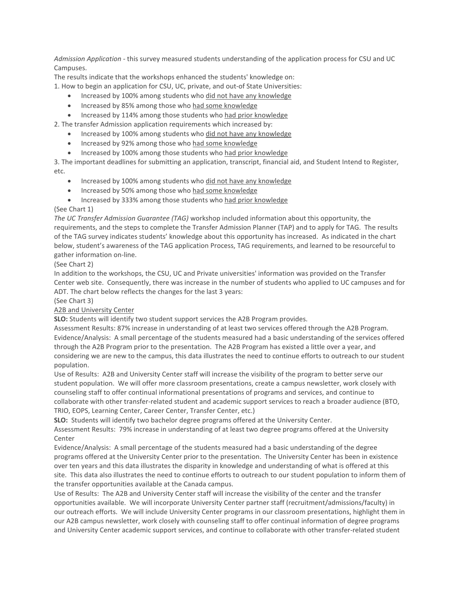*Admission Application -* this survey measured students understanding of the application process for CSU and UC Campuses.

The results indicate that the workshops enhanced the students' knowledge on: 1. How to begin an application for CSU, UC, private, and out-of State Universities:

- Increased by 100% among students who did not have any knowledge
- Increased by 85% among those who had some knowledge
- Increased by 114% among those students who had prior knowledge

2. The transfer Admission application requirements which increased by:

- Increased by 100% among students who did not have any knowledge
- Increased by 92% among those who had some knowledge
- Increased by 100% among those students who had prior knowledge

3. The important deadlines for submitting an application, transcript, financial aid, and Student Intend to Register, etc.

- Increased by 100% among students who did not have any knowledge
- Increased by 50% among those who had some knowledge
- Increased by 333% among those students who had prior knowledge

# (See Chart 1)

*The UC Transfer Admission Guarantee (TAG)* workshop included information about this opportunity, the requirements, and the steps to complete the Transfer Admission Planner (TAP) and to apply for TAG. The results of the TAG survey indicates students' knowledge about this opportunity has increased. As indicated in the chart below, student's awareness of the TAG application Process, TAG requirements, and learned to be resourceful to gather information on-line.

# (See Chart 2)

In addition to the workshops, the CSU, UC and Private universities' information was provided on the Transfer Center web site. Consequently, there was increase in the number of students who applied to UC campuses and for ADT. The chart below reflects the changes for the last 3 years:

# (See Chart 3)

# A2B and University Center

**SLO:** Students will identify two student support services the A2B Program provides.

Assessment Results: 87% increase in understanding of at least two services offered through the A2B Program. Evidence/Analysis: A small percentage of the students measured had a basic understanding of the services offered through the A2B Program prior to the presentation. The A2B Program has existed a little over a year, and considering we are new to the campus, this data illustrates the need to continue efforts to outreach to our student population.

Use of Results: A2B and University Center staff will increase the visibility of the program to better serve our student population. We will offer more classroom presentations, create a campus newsletter, work closely with counseling staff to offer continual informational presentations of programs and services, and continue to collaborate with other transfer-related student and academic support services to reach a broader audience (BTO, TRIO, EOPS, Learning Center, Career Center, Transfer Center, etc.)

**SLO:** Students will identify two bachelor degree programs offered at the University Center.

Assessment Results: 79% increase in understanding of at least two degree programs offered at the University Center

Evidence/Analysis: A small percentage of the students measured had a basic understanding of the degree programs offered at the University Center prior to the presentation. The University Center has been in existence over ten years and this data illustrates the disparity in knowledge and understanding of what is offered at this site. This data also illustrates the need to continue efforts to outreach to our student population to inform them of the transfer opportunities available at the Canada campus.

Use of Results: The A2B and University Center staff will increase the visibility of the center and the transfer opportunities available. We will incorporate University Center partner staff (recruitment/admissions/faculty) in our outreach efforts. We will include University Center programs in our classroom presentations, highlight them in our A2B campus newsletter, work closely with counseling staff to offer continual information of degree programs and University Center academic support services, and continue to collaborate with other transfer-related student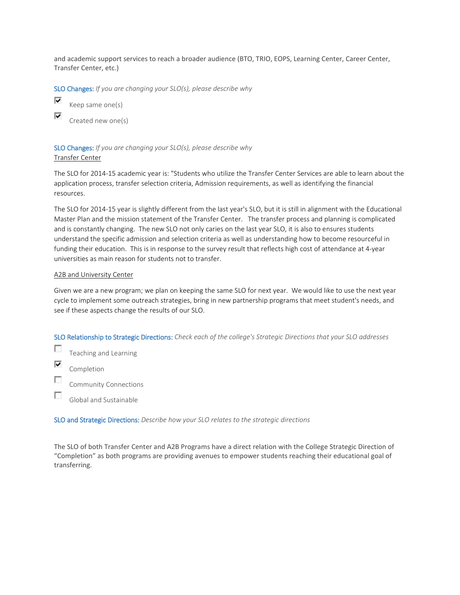and academic support services to reach a broader audience (BTO, TRIO, EOPS, Learning Center, Career Center, Transfer Center, etc.)

SLO Changes: *If you are changing your SLO(s), please describe why*



Keep same one(s)

Created new one(s)

SLO Changes: *If you are changing your SLO(s), please describe why* Transfer Center

The SLO for 2014-15 academic year is: "Students who utilize the Transfer Center Services are able to learn about the application process, transfer selection criteria, Admission requirements, as well as identifying the financial resources.

The SLO for 2014-15 year is slightly different from the last year's SLO, but it is still in alignment with the Educational Master Plan and the mission statement of the Transfer Center. The transfer process and planning is complicated and is constantly changing. The new SLO not only caries on the last year SLO, it is also to ensures students understand the specific admission and selection criteria as well as understanding how to become resourceful in funding their education. This is in response to the survey result that reflects high cost of attendance at 4-year universities as main reason for students not to transfer.

#### A2B and University Center

Given we are a new program; we plan on keeping the same SLO for next year. We would like to use the next year cycle to implement some outreach strategies, bring in new partnership programs that meet student's needs, and see if these aspects change the results of our SLO.

SLO Relationship to Strategic Directions: *Check each of the college's Strategic Directions that your SLO addresses*

 $\overline{\phantom{a}}$ Teaching and Learning

- ⊽ Completion
- Г Community Connections
- п Global and Sustainable

SLO and Strategic Directions: *Describe how your SLO relates to the strategic directions*

The SLO of both Transfer Center and A2B Programs have a direct relation with the College Strategic Direction of "Completion" as both programs are providing avenues to empower students reaching their educational goal of transferring.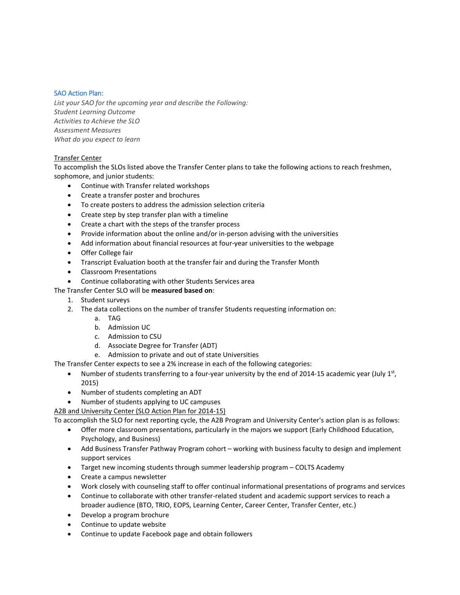# SAO Action Plan:

*List your SAO for the upcoming year and describe the Following: Student Learning Outcome Activities to Achieve the SLO Assessment Measures What do you expect to learn*

# Transfer Center

To accomplish the SLOs listed above the Transfer Center plans to take the following actions to reach freshmen, sophomore, and junior students:

- Continue with Transfer related workshops
- Create a transfer poster and brochures
- To create posters to address the admission selection criteria
- Create step by step transfer plan with a timeline
- Create a chart with the steps of the transfer process
- Provide information about the online and/or in-person advising with the universities
- Add information about financial resources at four-year universities to the webpage
- Offer College fair
- Transcript Evaluation booth at the transfer fair and during the Transfer Month
- Classroom Presentations
- Continue collaborating with other Students Services area

# The Transfer Center SLO will be **measured based on**:

- 1. Student surveys
- 2. The data collections on the number of transfer Students requesting information on:
	- a. TAG
		- b. Admission UC
		- c. Admission to CSU
		- d. Associate Degree for Transfer (ADT)
		- e. Admission to private and out of state Universities

The Transfer Center expects to see a 2% increase in each of the following categories:

- Number of students transferring to a four-year university by the end of 2014-15 academic year (July  $1<sup>st</sup>$ , 2015)
- Number of students completing an ADT
- Number of students applying to UC campuses

# A2B and University Center (SLO Action Plan for 2014-15)

To accomplish the SLO for next reporting cycle, the A2B Program and University Center's action plan is as follows:

- Offer more classroom presentations, particularly in the majors we support (Early Childhood Education, Psychology, and Business)
- Add Business Transfer Pathway Program cohort working with business faculty to design and implement support services
- Target new incoming students through summer leadership program COLTS Academy
- Create a campus newsletter
- Work closely with counseling staff to offer continual informational presentations of programs and services
- Continue to collaborate with other transfer-related student and academic support services to reach a broader audience (BTO, TRIO, EOPS, Learning Center, Career Center, Transfer Center, etc.)
- Develop a program brochure
- Continue to update website
- Continue to update Facebook page and obtain followers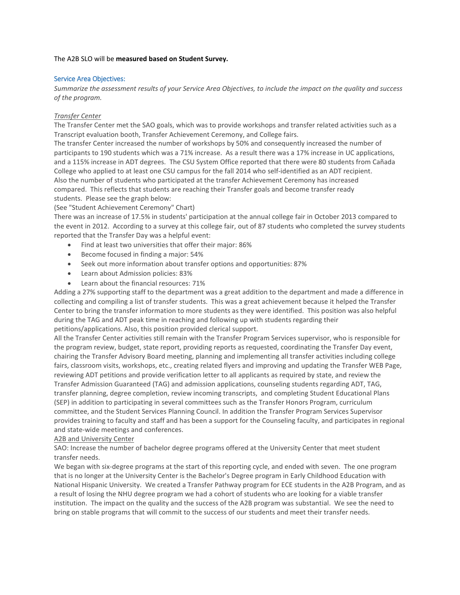#### The A2B SLO will be **measured based on Student Survey.**

#### Service Area Objectives:

*Summarize the assessment results of your Service Area Objectives, to include the impact on the quality and success of the program.*

#### *Transfer Center*

The Transfer Center met the SAO goals, which was to provide workshops and transfer related activities such as a Transcript evaluation booth, Transfer Achievement Ceremony, and College fairs.

The transfer Center increased the number of workshops by 50% and consequently increased the number of participants to 190 students which was a 71% increase. As a result there was a 17% increase in UC applications, and a 115% increase in ADT degrees. The CSU System Office reported that there were 80 students from Cañada College who applied to at least one CSU campus for the fall 2014 who self-identified as an ADT recipient. Also the number of students who participated at the transfer Achievement Ceremony has increased compared. This reflects that students are reaching their Transfer goals and become transfer ready students. Please see the graph below:

(See "Student Achievement Ceremony" Chart)

There was an increase of 17.5% in students' participation at the annual college fair in October 2013 compared to the event in 2012. According to a survey at this college fair, out of 87 students who completed the survey students reported that the Transfer Day was a helpful event:

- Find at least two universities that offer their major: 86%
- Become focused in finding a major: 54%
- Seek out more information about transfer options and opportunities: 87%
- Learn about Admission policies: 83%
- Learn about the financial resources: 71%

Adding a 27% supporting staff to the department was a great addition to the department and made a difference in collecting and compiling a list of transfer students. This was a great achievement because it helped the Transfer Center to bring the transfer information to more students as they were identified. This position was also helpful during the TAG and ADT peak time in reaching and following up with students regarding their petitions/applications. Also, this position provided clerical support.

All the Transfer Center activities still remain with the Transfer Program Services supervisor, who is responsible for the program review, budget, state report, providing reports as requested, coordinating the Transfer Day event, chairing the Transfer Advisory Board meeting, planning and implementing all transfer activities including college fairs, classroom visits, workshops, etc., creating related flyers and improving and updating the Transfer WEB Page, reviewing ADT petitions and provide verification letter to all applicants as required by state, and review the Transfer Admission Guaranteed (TAG) and admission applications, counseling students regarding ADT, TAG, transfer planning, degree completion, review incoming transcripts, and completing Student Educational Plans (SEP) in addition to participating in several committees such as the Transfer Honors Program, curriculum committee, and the Student Services Planning Council. In addition the Transfer Program Services Supervisor provides training to faculty and staff and has been a support for the Counseling faculty, and participates in regional and state-wide meetings and conferences.

#### A2B and University Center

SAO: Increase the number of bachelor degree programs offered at the University Center that meet student transfer needs.

We began with six-degree programs at the start of this reporting cycle, and ended with seven. The one program that is no longer at the University Center is the Bachelor's Degree program in Early Childhood Education with National Hispanic University. We created a Transfer Pathway program for ECE students in the A2B Program, and as a result of losing the NHU degree program we had a cohort of students who are looking for a viable transfer institution. The impact on the quality and the success of the A2B program was substantial. We see the need to bring on stable programs that will commit to the success of our students and meet their transfer needs.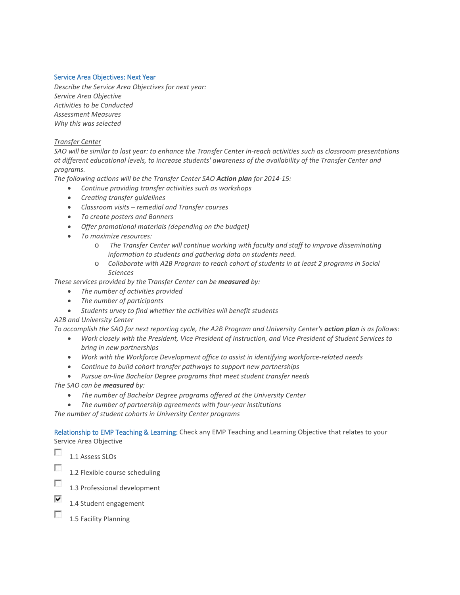# Service Area Objectives: Next Year

*Describe the Service Area Objectives for next year: Service Area Objective Activities to be Conducted Assessment Measures Why this was selected*

#### *Transfer Center*

*SAO will be similar to last year: to enhance the Transfer Center in-reach activities such as classroom presentations at different educational levels, to increase students' awareness of the availability of the Transfer Center and programs.* 

*The following actions will be the Transfer Center SAO Action plan for 2014-15:*

- *Continue providing transfer activities such as workshops*
- *Creating transfer guidelines*
- *Classroom visits – remedial and Transfer courses*
- *To create posters and Banners*
- *Offer promotional materials (depending on the budget)*
- *To maximize resources:*
	- o *The Transfer Center will continue working with faculty and staff to improve disseminating information to students and gathering data on students need.*
	- o *Collaborate with A2B Program to reach cohort of students in at least 2 programs in Social Sciences*

*These services provided by the Transfer Center can be measured by:*

- *The number of activities provided*
- *The number of participants*
- *Students urvey to find whether the activities will benefit students*

# *A2B and University Center*

*To accomplish the SAO for next reporting cycle, the A2B Program and University Center's action plan is as follows:* 

- *Work closely with the President, Vice President of Instruction, and Vice President of Student Services to bring in new partnerships*
- *Work with the Workforce Development office to assist in identifying workforce-related needs*
- *Continue to build cohort transfer pathways to support new partnerships*
- *Pursue on-line Bachelor Degree programs that meet student transfer needs*

*The SAO can be measured by:*

- *The number of Bachelor Degree programs offered at the University Center*
- *The number of partnership agreements with four-year institutions*

*The number of student cohorts in University Center programs*

Relationship to EMP Teaching & Learning: Check any EMP Teaching and Learning Objective that relates to your Service Area Objective

n. 1.1 Assess SLOs

- Ð 1.2 Flexible course scheduling
- $\overline{\phantom{a}}$ 1.3 Professional development
- ⊽ 1.4 Student engagement
- $\sim$ 1.5 Facility Planning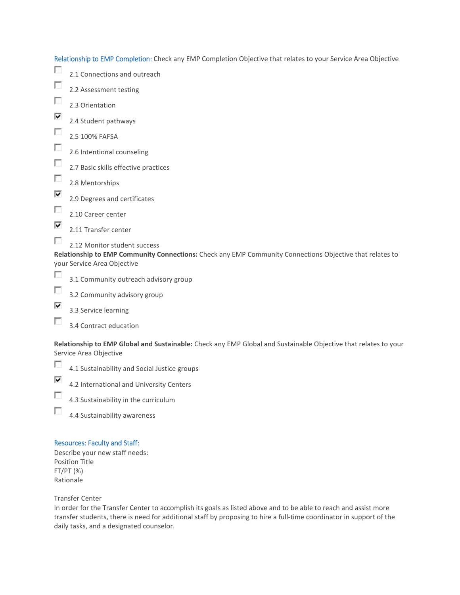Relationship to EMP Completion: Check any EMP Completion Objective that relates to your Service Area Objective

| г      | 2.1 Connections and outreach                                                                             |
|--------|----------------------------------------------------------------------------------------------------------|
| L      | 2.2 Assessment testing                                                                                   |
| $\sim$ | 2.3 Orientation                                                                                          |
| ⊽      | 2.4 Student pathways                                                                                     |
| П      | 2.5 100% FAFSA                                                                                           |
| П      | 2.6 Intentional counseling                                                                               |
| П      | 2.7 Basic skills effective practices                                                                     |
| o      | 2.8 Mentorships                                                                                          |
| ⊽      | 2.9 Degrees and certificates                                                                             |
| Г      | 2.10 Career center                                                                                       |
| ⊽      | 2.11 Transfer center                                                                                     |
|        | 2.12 Monitor student success                                                                             |
|        | Relationship to EMP Community Connections: Check any EMP Community Connections Objective that relates to |
|        | your Service Area Objective                                                                              |
| o      | 3.1 Community outreach advisory group                                                                    |
|        | 3.2 Community advisory group                                                                             |

- ⊽ 3.3 Service learning
- $\overline{\phantom{a}}$ 3.4 Contract education

**Relationship to EMP Global and Sustainable:** Check any EMP Global and Sustainable Objective that relates to your Service Area Objective

 $\sim$ 4.1 Sustainability and Social Justice groups

- ⊽ 4.2 International and University Centers
- $\mathcal{L}_{\mathcal{L}}$ 4.3 Sustainability in the curriculum
- $\overline{\mathcal{L}}$ 4.4 Sustainability awareness

# Resources: Faculty and Staff:

Describe your new staff needs: Position Title FT/PT (%) Rationale

# Transfer Center

In order for the Transfer Center to accomplish its goals as listed above and to be able to reach and assist more transfer students, there is need for additional staff by proposing to hire a full-time coordinator in support of the daily tasks, and a designated counselor.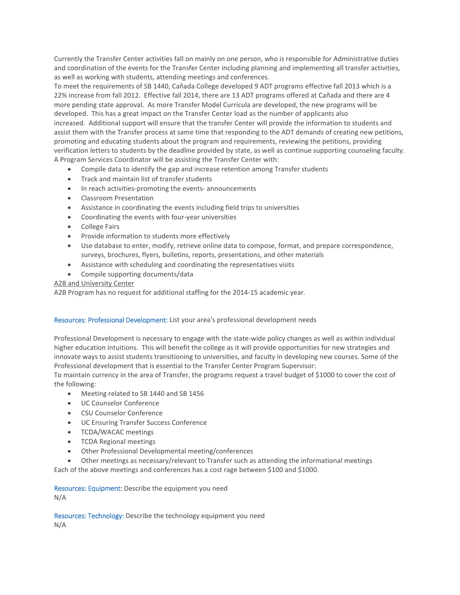Currently the Transfer Center activities fall on mainly on one person, who is responsible for Administrative duties and coordination of the events for the Transfer Center including planning and implementing all transfer activities, as well as working with students, attending meetings and conferences.

To meet the requirements of SB 1440, Cañada College developed 9 ADT programs effective fall 2013 which is a 22% increase from fall 2012. Effective fall 2014, there are 13 ADT programs offered at Cañada and there are 4 more pending state approval. As more Transfer Model Curricula are developed, the new programs will be developed. This has a great impact on the Transfer Center load as the number of applicants also increased. Additional support will ensure that the transfer Center will provide the information to students and assist them with the Transfer process at same time that responding to the ADT demands of creating new petitions, promoting and educating students about the program and requirements, reviewing the petitions, providing verification letters to students by the deadline provided by state, as well as continue supporting counseling faculty. A Program Services Coordinator will be assisting the Transfer Center with:

- Compile data to identify the gap and increase retention among Transfer students
- Track and maintain list of transfer students
- In reach activities-promoting the events- announcements
- Classroom Presentation
- Assistance in coordinating the events including field trips to universities
- Coordinating the events with four-year universities
- College Fairs
- Provide information to students more effectively
- Use database to enter, modify, retrieve online data to compose, format, and prepare correspondence, surveys, brochures, flyers, bulletins, reports, presentations, and other materials
- Assistance with scheduling and coordinating the representatives visits
- Compile supporting documents/data

#### A2B and University Center

A2B Program has no request for additional staffing for the 2014-15 academic year.

# Resources: Professional Development: List your area's professional development needs

Professional Development is necessary to engage with the state-wide policy changes as well as within individual higher education intuitions. This will benefit the college as it will provide opportunities for new strategies and innovate ways to assist students transitioning to universities, and faculty in developing new courses. Some of the Professional development that is essential to the Transfer Center Program Supervisor:

To maintain currency in the area of Transfer, the programs request a travel budget of \$1000 to cover the cost of the following:

- Meeting related to SB 1440 and SB 1456
- UC Counselor Conference
- CSU Counselor Conference
- UC Ensuring Transfer Success Conference
- TCDA/WACAC meetings
- TCDA Regional meetings
- Other Professional Developmental meeting/conferences
- Other meetings as necessary/relevant to Transfer such as attending the informational meetings

Each of the above meetings and conferences has a cost rage between \$100 and \$1000.

Resources: Equipment: Describe the equipment you need N/A

Resources: Technology: Describe the technology equipment you need N/A